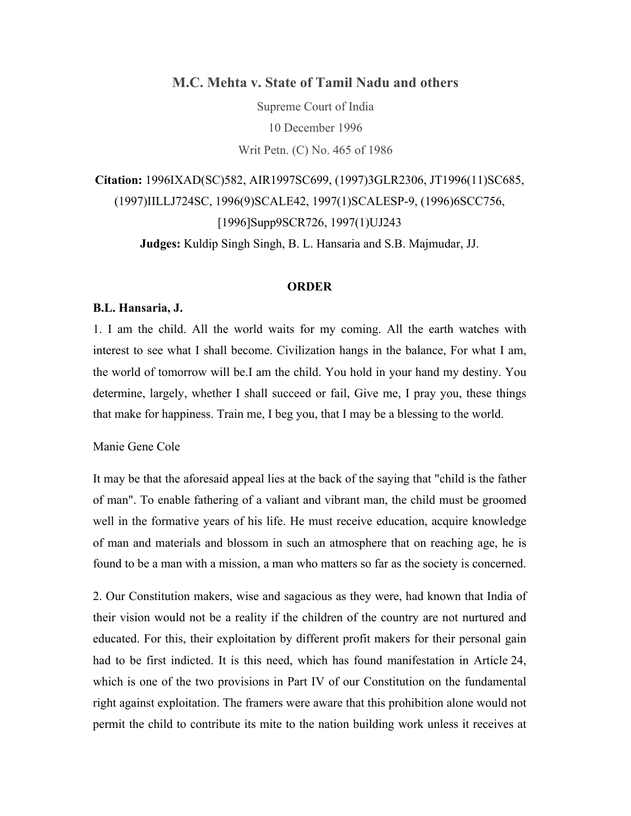**M.C. Mehta v. State of Tamil Nadu and others**

Supreme Court of India 10 December 1996 Writ Petn. (C) No. 465 of 1986

**Citation:** 1996IXAD(SC)582, AIR1997SC699, (1997)3GLR2306, JT1996(11)SC685, (1997)IILLJ724SC, 1996(9)SCALE42, 1997(1)SCALESP-9, (1996)6SCC756, [1996]Supp9SCR726, 1997(1)UJ243 **Judges:** Kuldip Singh Singh, B. L. Hansaria and S.B. Majmudar, JJ.

### **ORDER**

### **B.L. Hansaria, J.**

1. I am the child. All the world waits for my coming. All the earth watches with interest to see what I shall become. Civilization hangs in the balance, For what I am, the world of tomorrow will be.I am the child. You hold in your hand my destiny. You determine, largely, whether I shall succeed or fail, Give me, I pray you, these things that make for happiness. Train me, I beg you, that I may be a blessing to the world.

# Manie Gene Cole

It may be that the aforesaid appeal lies at the back of the saying that "child is the father of man". To enable fathering of a valiant and vibrant man, the child must be groomed well in the formative years of his life. He must receive education, acquire knowledge of man and materials and blossom in such an atmosphere that on reaching age, he is found to be a man with a mission, a man who matters so far as the society is concerned.

2. Our Constitution makers, wise and sagacious as they were, had known that India of their vision would not be a reality if the children of the country are not nurtured and educated. For this, their exploitation by different profit makers for their personal gain had to be first indicted. It is this need, which has found manifestation in Article 24, which is one of the two provisions in Part IV of our Constitution on the fundamental right against exploitation. The framers were aware that this prohibition alone would not permit the child to contribute its mite to the nation building work unless it receives at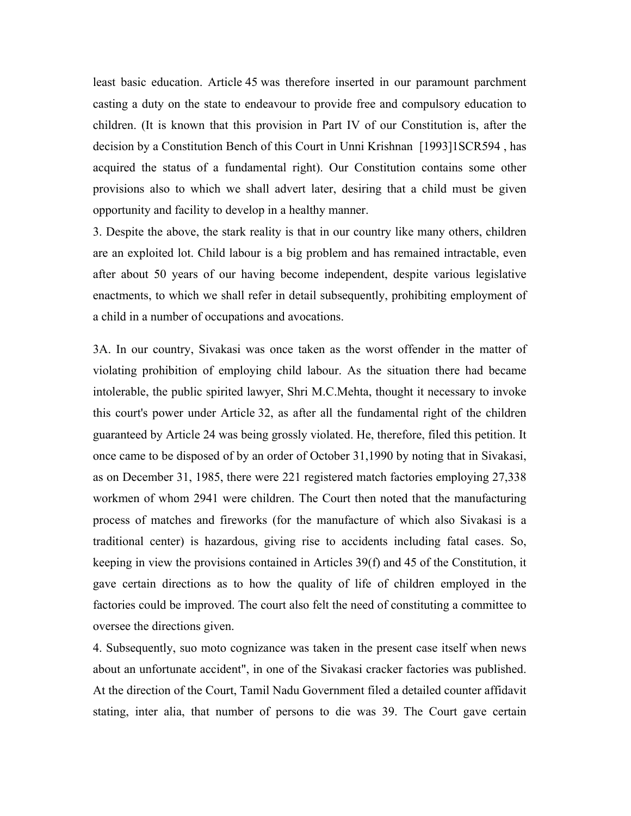least basic education. Article 45 was therefore inserted in our paramount parchment casting a duty on the state to endeavour to provide free and compulsory education to children. (It is known that this provision in Part IV of our Constitution is, after the decision by a Constitution Bench of this Court in Unni Krishnan [1993]1SCR594 , has acquired the status of a fundamental right). Our Constitution contains some other provisions also to which we shall advert later, desiring that a child must be given opportunity and facility to develop in a healthy manner.

3. Despite the above, the stark reality is that in our country like many others, children are an exploited lot. Child labour is a big problem and has remained intractable, even after about 50 years of our having become independent, despite various legislative enactments, to which we shall refer in detail subsequently, prohibiting employment of a child in a number of occupations and avocations.

3A. In our country, Sivakasi was once taken as the worst offender in the matter of violating prohibition of employing child labour. As the situation there had became intolerable, the public spirited lawyer, Shri M.C.Mehta, thought it necessary to invoke this court's power under Article 32, as after all the fundamental right of the children guaranteed by Article 24 was being grossly violated. He, therefore, filed this petition. It once came to be disposed of by an order of October 31,1990 by noting that in Sivakasi, as on December 31, 1985, there were 221 registered match factories employing 27,338 workmen of whom 2941 were children. The Court then noted that the manufacturing process of matches and fireworks (for the manufacture of which also Sivakasi is a traditional center) is hazardous, giving rise to accidents including fatal cases. So, keeping in view the provisions contained in Articles 39(f) and 45 of the Constitution, it gave certain directions as to how the quality of life of children employed in the factories could be improved. The court also felt the need of constituting a committee to oversee the directions given.

4. Subsequently, suo moto cognizance was taken in the present case itself when news about an unfortunate accident", in one of the Sivakasi cracker factories was published. At the direction of the Court, Tamil Nadu Government filed a detailed counter affidavit stating, inter alia, that number of persons to die was 39. The Court gave certain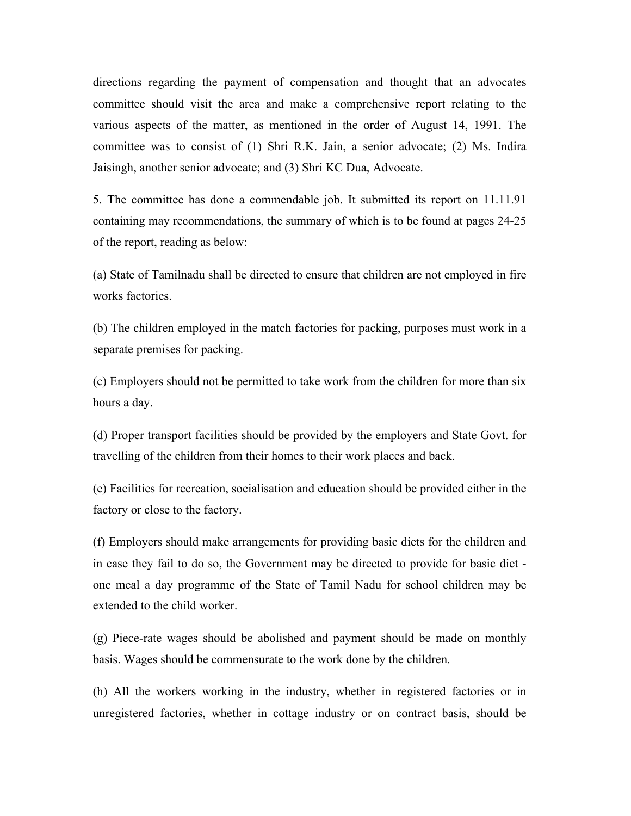directions regarding the payment of compensation and thought that an advocates committee should visit the area and make a comprehensive report relating to the various aspects of the matter, as mentioned in the order of August 14, 1991. The committee was to consist of (1) Shri R.K. Jain, a senior advocate; (2) Ms. Indira Jaisingh, another senior advocate; and (3) Shri KC Dua, Advocate.

5. The committee has done a commendable job. It submitted its report on 11.11.91 containing may recommendations, the summary of which is to be found at pages 24-25 of the report, reading as below:

(a) State of Tamilnadu shall be directed to ensure that children are not employed in fire works factories.

(b) The children employed in the match factories for packing, purposes must work in a separate premises for packing.

(c) Employers should not be permitted to take work from the children for more than six hours a day.

(d) Proper transport facilities should be provided by the employers and State Govt. for travelling of the children from their homes to their work places and back.

(e) Facilities for recreation, socialisation and education should be provided either in the factory or close to the factory.

(f) Employers should make arrangements for providing basic diets for the children and in case they fail to do so, the Government may be directed to provide for basic diet one meal a day programme of the State of Tamil Nadu for school children may be extended to the child worker.

(g) Piece-rate wages should be abolished and payment should be made on monthly basis. Wages should be commensurate to the work done by the children.

(h) All the workers working in the industry, whether in registered factories or in unregistered factories, whether in cottage industry or on contract basis, should be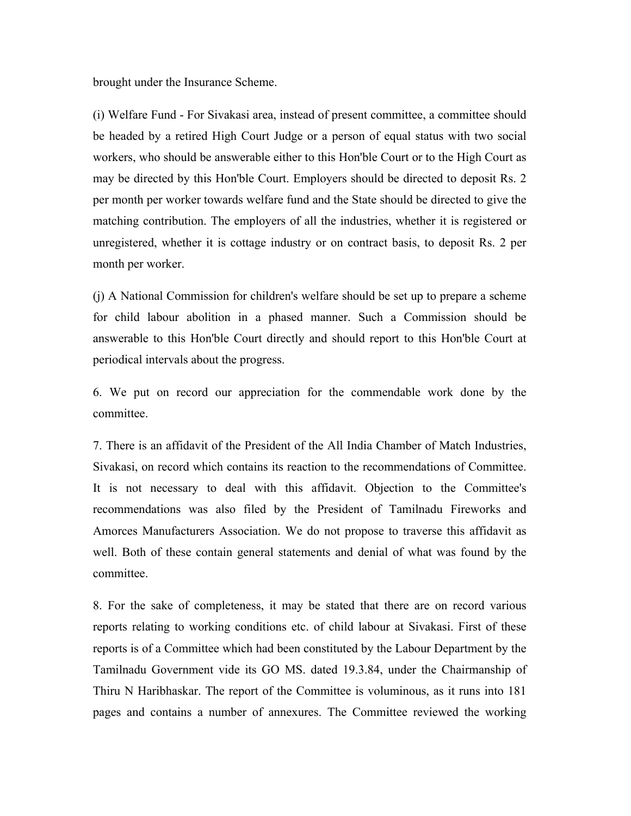brought under the Insurance Scheme.

(i) Welfare Fund - For Sivakasi area, instead of present committee, a committee should be headed by a retired High Court Judge or a person of equal status with two social workers, who should be answerable either to this Hon'ble Court or to the High Court as may be directed by this Hon'ble Court. Employers should be directed to deposit Rs. 2 per month per worker towards welfare fund and the State should be directed to give the matching contribution. The employers of all the industries, whether it is registered or unregistered, whether it is cottage industry or on contract basis, to deposit Rs. 2 per month per worker.

(j) A National Commission for children's welfare should be set up to prepare a scheme for child labour abolition in a phased manner. Such a Commission should be answerable to this Hon'ble Court directly and should report to this Hon'ble Court at periodical intervals about the progress.

6. We put on record our appreciation for the commendable work done by the committee.

7. There is an affidavit of the President of the All India Chamber of Match Industries, Sivakasi, on record which contains its reaction to the recommendations of Committee. It is not necessary to deal with this affidavit. Objection to the Committee's recommendations was also filed by the President of Tamilnadu Fireworks and Amorces Manufacturers Association. We do not propose to traverse this affidavit as well. Both of these contain general statements and denial of what was found by the committee.

8. For the sake of completeness, it may be stated that there are on record various reports relating to working conditions etc. of child labour at Sivakasi. First of these reports is of a Committee which had been constituted by the Labour Department by the Tamilnadu Government vide its GO MS. dated 19.3.84, under the Chairmanship of Thiru N Haribhaskar. The report of the Committee is voluminous, as it runs into 181 pages and contains a number of annexures. The Committee reviewed the working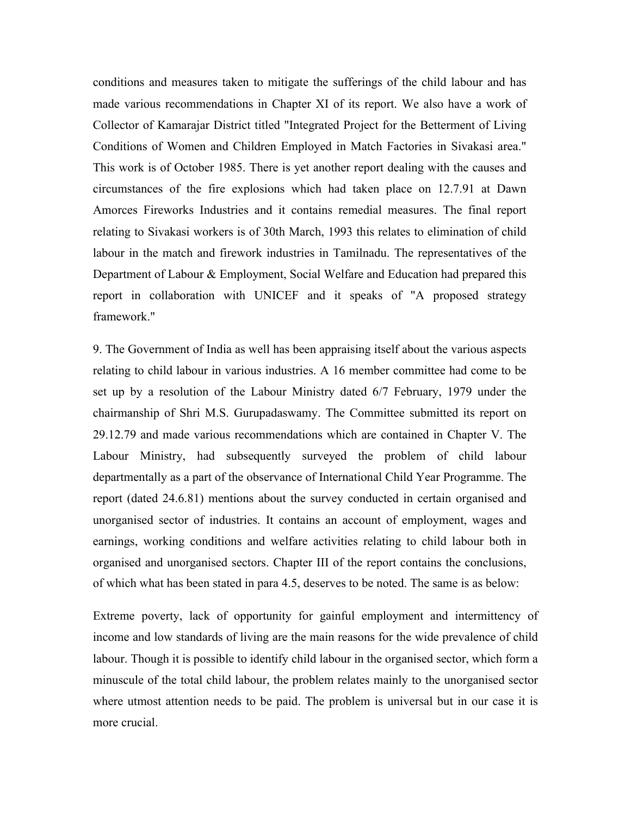conditions and measures taken to mitigate the sufferings of the child labour and has made various recommendations in Chapter XI of its report. We also have a work of Collector of Kamarajar District titled "Integrated Project for the Betterment of Living Conditions of Women and Children Employed in Match Factories in Sivakasi area." This work is of October 1985. There is yet another report dealing with the causes and circumstances of the fire explosions which had taken place on 12.7.91 at Dawn Amorces Fireworks Industries and it contains remedial measures. The final report relating to Sivakasi workers is of 30th March, 1993 this relates to elimination of child labour in the match and firework industries in Tamilnadu. The representatives of the Department of Labour & Employment, Social Welfare and Education had prepared this report in collaboration with UNICEF and it speaks of "A proposed strategy framework."

9. The Government of India as well has been appraising itself about the various aspects relating to child labour in various industries. A 16 member committee had come to be set up by a resolution of the Labour Ministry dated 6/7 February, 1979 under the chairmanship of Shri M.S. Gurupadaswamy. The Committee submitted its report on 29.12.79 and made various recommendations which are contained in Chapter V. The Labour Ministry, had subsequently surveyed the problem of child labour departmentally as a part of the observance of International Child Year Programme. The report (dated 24.6.81) mentions about the survey conducted in certain organised and unorganised sector of industries. It contains an account of employment, wages and earnings, working conditions and welfare activities relating to child labour both in organised and unorganised sectors. Chapter III of the report contains the conclusions, of which what has been stated in para 4.5, deserves to be noted. The same is as below:

Extreme poverty, lack of opportunity for gainful employment and intermittency of income and low standards of living are the main reasons for the wide prevalence of child labour. Though it is possible to identify child labour in the organised sector, which form a minuscule of the total child labour, the problem relates mainly to the unorganised sector where utmost attention needs to be paid. The problem is universal but in our case it is more crucial.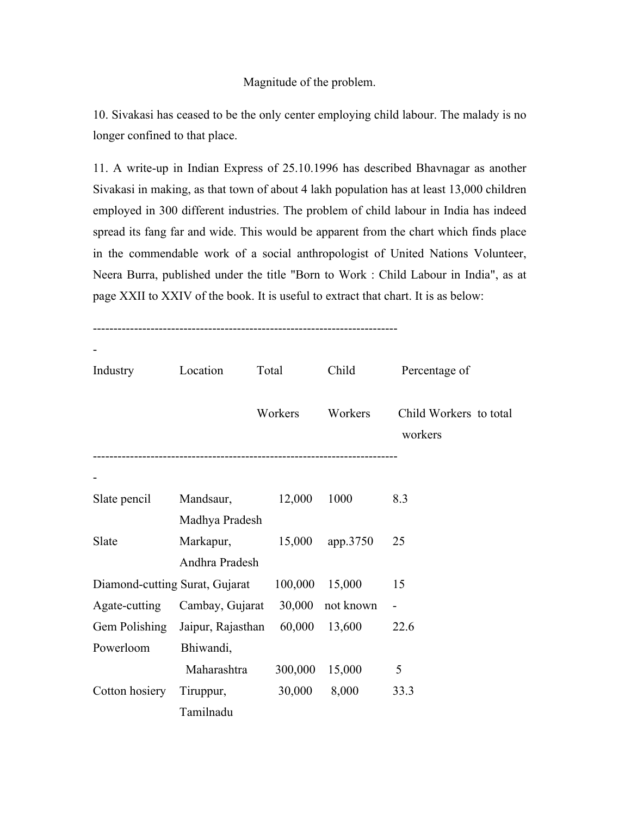# Magnitude of the problem.

10. Sivakasi has ceased to be the only center employing child labour. The malady is no longer confined to that place.

11. A write-up in Indian Express of 25.10.1996 has described Bhavnagar as another Sivakasi in making, as that town of about 4 lakh population has at least 13,000 children employed in 300 different industries. The problem of child labour in India has indeed spread its fang far and wide. This would be apparent from the chart which finds place in the commendable work of a social anthropologist of United Nations Volunteer, Neera Burra, published under the title "Born to Work : Child Labour in India", as at page XXII to XXIV of the book. It is useful to extract that chart. It is as below:

--------------------------------------------------------------------------

| Industry                       | Location          | Total   | Child     | Percentage of                     |
|--------------------------------|-------------------|---------|-----------|-----------------------------------|
|                                |                   | Workers | Workers   | Child Workers to total<br>workers |
|                                |                   |         |           |                                   |
| Slate pencil                   | Mandsaur,         | 12,000  | 1000      | 8.3                               |
|                                | Madhya Pradesh    |         |           |                                   |
| Slate                          | Markapur,         | 15,000  | app.3750  | 25                                |
|                                | Andhra Pradesh    |         |           |                                   |
| Diamond-cutting Surat, Gujarat |                   | 100,000 | 15,000    | 15                                |
| Agate-cutting                  | Cambay, Gujarat   | 30,000  | not known |                                   |
| Gem Polishing                  | Jaipur, Rajasthan | 60,000  | 13,600    | 22.6                              |
| Powerloom                      | Bhiwandi,         |         |           |                                   |
|                                | Maharashtra       | 300,000 | 15,000    | 5                                 |
| Cotton hosiery                 | Tiruppur,         | 30,000  | 8,000     | 33.3                              |
|                                | Tamilnadu         |         |           |                                   |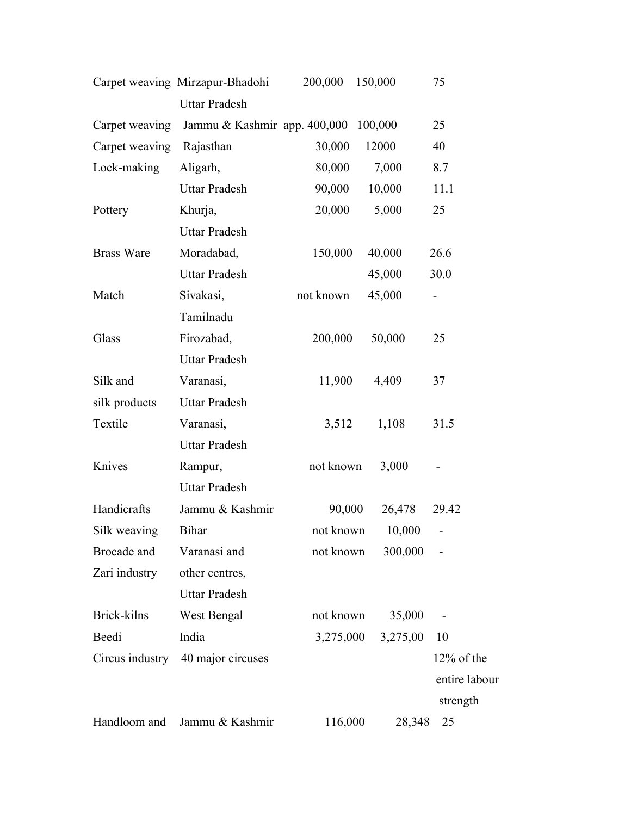|                   | Carpet weaving Mirzapur-Bhadohi | 200,000   | 150,000  | 75            |
|-------------------|---------------------------------|-----------|----------|---------------|
|                   | <b>Uttar Pradesh</b>            |           |          |               |
| Carpet weaving    | Jammu & Kashmir app. 400,000    |           | 100,000  | 25            |
| Carpet weaving    | Rajasthan                       | 30,000    | 12000    | 40            |
| Lock-making       | Aligarh,                        | 80,000    | 7,000    | 8.7           |
|                   | <b>Uttar Pradesh</b>            | 90,000    | 10,000   | 11.1          |
| Pottery           | Khurja,                         | 20,000    | 5,000    | 25            |
|                   | <b>Uttar Pradesh</b>            |           |          |               |
| <b>Brass Ware</b> | Moradabad,                      | 150,000   | 40,000   | 26.6          |
|                   | <b>Uttar Pradesh</b>            |           | 45,000   | 30.0          |
| Match             | Sivakasi,                       | not known | 45,000   |               |
|                   | Tamilnadu                       |           |          |               |
| Glass             | Firozabad,                      | 200,000   | 50,000   | 25            |
|                   | <b>Uttar Pradesh</b>            |           |          |               |
| Silk and          | Varanasi,                       | 11,900    | 4,409    | 37            |
| silk products     | <b>Uttar Pradesh</b>            |           |          |               |
| Textile           | Varanasi,                       | 3,512     | 1,108    | 31.5          |
|                   | <b>Uttar Pradesh</b>            |           |          |               |
| Knives            | Rampur,                         | not known | 3,000    |               |
|                   | <b>Uttar Pradesh</b>            |           |          |               |
| Handicrafts       | Jammu & Kashmir                 | 90,000    | 26,478   | 29.42         |
| Silk weaving      | <b>Bihar</b>                    | not known | 10,000   | ۰             |
| Brocade and       | Varanasi and                    | not known | 300,000  |               |
| Zari industry     | other centres,                  |           |          |               |
|                   | <b>Uttar Pradesh</b>            |           |          |               |
| Brick-kilns       | West Bengal                     | not known | 35,000   |               |
| Beedi             | India                           | 3,275,000 | 3,275,00 | 10            |
| Circus industry   | 40 major circuses               |           |          | 12% of the    |
|                   |                                 |           |          | entire labour |
|                   |                                 |           |          | strength      |
| Handloom and      | Jammu & Kashmir                 | 116,000   | 28,348   | 25            |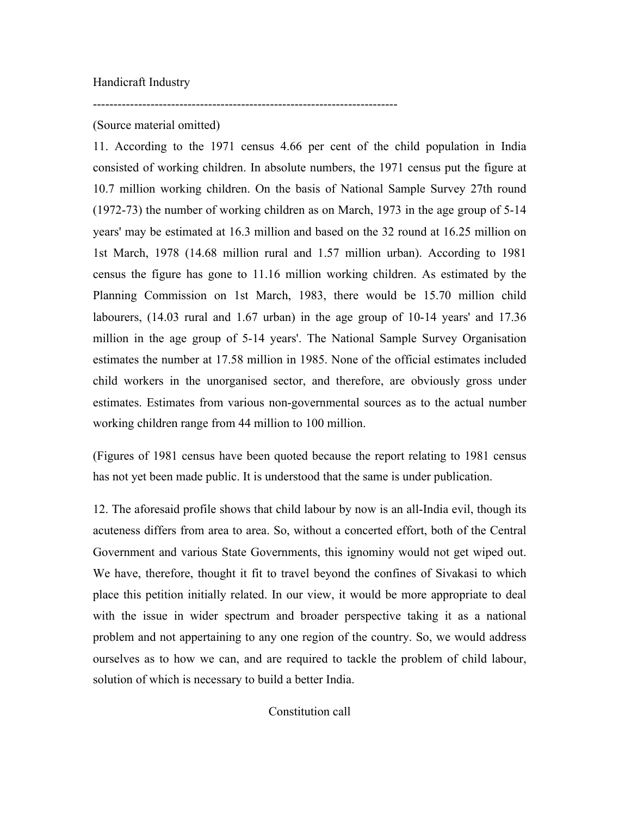# (Source material omitted)

--------------------------------------------------------------------------

11. According to the 1971 census 4.66 per cent of the child population in India consisted of working children. In absolute numbers, the 1971 census put the figure at 10.7 million working children. On the basis of National Sample Survey 27th round (1972-73) the number of working children as on March, 1973 in the age group of 5-14 years' may be estimated at 16.3 million and based on the 32 round at 16.25 million on 1st March, 1978 (14.68 million rural and 1.57 million urban). According to 1981 census the figure has gone to 11.16 million working children. As estimated by the Planning Commission on 1st March, 1983, there would be 15.70 million child labourers, (14.03 rural and 1.67 urban) in the age group of 10-14 years' and 17.36 million in the age group of 5-14 years'. The National Sample Survey Organisation estimates the number at 17.58 million in 1985. None of the official estimates included child workers in the unorganised sector, and therefore, are obviously gross under estimates. Estimates from various non-governmental sources as to the actual number working children range from 44 million to 100 million.

(Figures of 1981 census have been quoted because the report relating to 1981 census has not yet been made public. It is understood that the same is under publication.

12. The aforesaid profile shows that child labour by now is an all-India evil, though its acuteness differs from area to area. So, without a concerted effort, both of the Central Government and various State Governments, this ignominy would not get wiped out. We have, therefore, thought it fit to travel beyond the confines of Sivakasi to which place this petition initially related. In our view, it would be more appropriate to deal with the issue in wider spectrum and broader perspective taking it as a national problem and not appertaining to any one region of the country. So, we would address ourselves as to how we can, and are required to tackle the problem of child labour, solution of which is necessary to build a better India.

Constitution call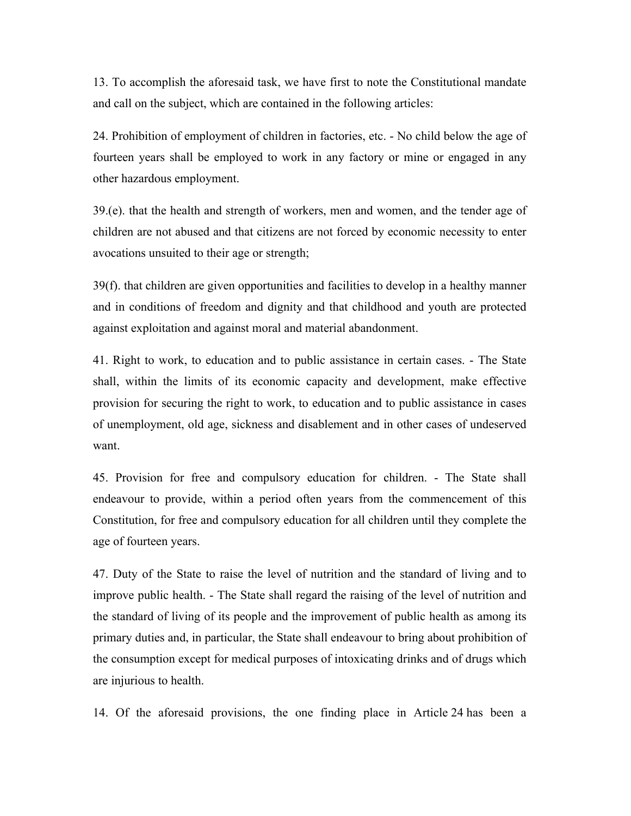13. To accomplish the aforesaid task, we have first to note the Constitutional mandate and call on the subject, which are contained in the following articles:

24. Prohibition of employment of children in factories, etc. - No child below the age of fourteen years shall be employed to work in any factory or mine or engaged in any other hazardous employment.

39.(e). that the health and strength of workers, men and women, and the tender age of children are not abused and that citizens are not forced by economic necessity to enter avocations unsuited to their age or strength;

39(f). that children are given opportunities and facilities to develop in a healthy manner and in conditions of freedom and dignity and that childhood and youth are protected against exploitation and against moral and material abandonment.

41. Right to work, to education and to public assistance in certain cases. - The State shall, within the limits of its economic capacity and development, make effective provision for securing the right to work, to education and to public assistance in cases of unemployment, old age, sickness and disablement and in other cases of undeserved want.

45. Provision for free and compulsory education for children. - The State shall endeavour to provide, within a period often years from the commencement of this Constitution, for free and compulsory education for all children until they complete the age of fourteen years.

47. Duty of the State to raise the level of nutrition and the standard of living and to improve public health. - The State shall regard the raising of the level of nutrition and the standard of living of its people and the improvement of public health as among its primary duties and, in particular, the State shall endeavour to bring about prohibition of the consumption except for medical purposes of intoxicating drinks and of drugs which are injurious to health.

14. Of the aforesaid provisions, the one finding place in Article 24 has been a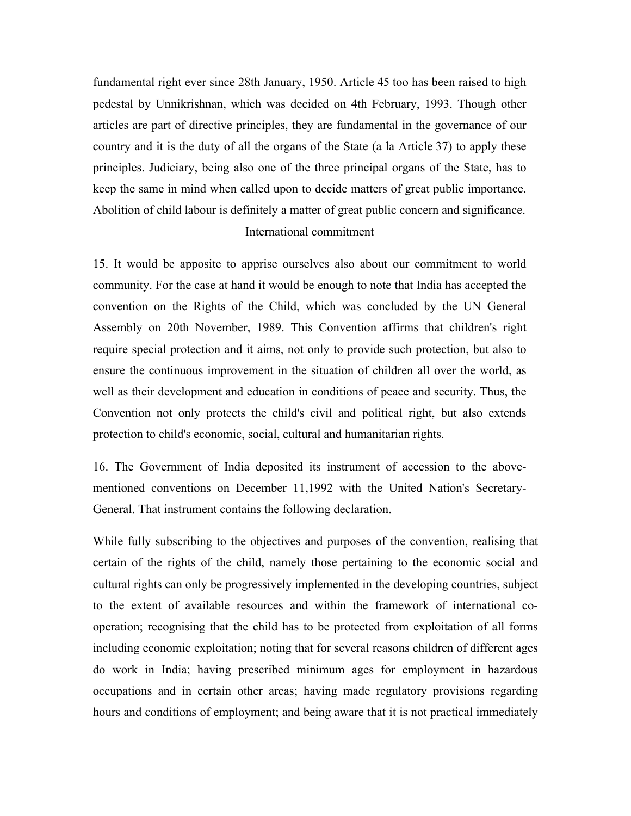fundamental right ever since 28th January, 1950. Article 45 too has been raised to high pedestal by Unnikrishnan, which was decided on 4th February, 1993. Though other articles are part of directive principles, they are fundamental in the governance of our country and it is the duty of all the organs of the State (a la Article 37) to apply these principles. Judiciary, being also one of the three principal organs of the State, has to keep the same in mind when called upon to decide matters of great public importance. Abolition of child labour is definitely a matter of great public concern and significance.

# International commitment

15. It would be apposite to apprise ourselves also about our commitment to world community. For the case at hand it would be enough to note that India has accepted the convention on the Rights of the Child, which was concluded by the UN General Assembly on 20th November, 1989. This Convention affirms that children's right require special protection and it aims, not only to provide such protection, but also to ensure the continuous improvement in the situation of children all over the world, as well as their development and education in conditions of peace and security. Thus, the Convention not only protects the child's civil and political right, but also extends protection to child's economic, social, cultural and humanitarian rights.

16. The Government of India deposited its instrument of accession to the abovementioned conventions on December 11,1992 with the United Nation's Secretary-General. That instrument contains the following declaration.

While fully subscribing to the objectives and purposes of the convention, realising that certain of the rights of the child, namely those pertaining to the economic social and cultural rights can only be progressively implemented in the developing countries, subject to the extent of available resources and within the framework of international cooperation; recognising that the child has to be protected from exploitation of all forms including economic exploitation; noting that for several reasons children of different ages do work in India; having prescribed minimum ages for employment in hazardous occupations and in certain other areas; having made regulatory provisions regarding hours and conditions of employment; and being aware that it is not practical immediately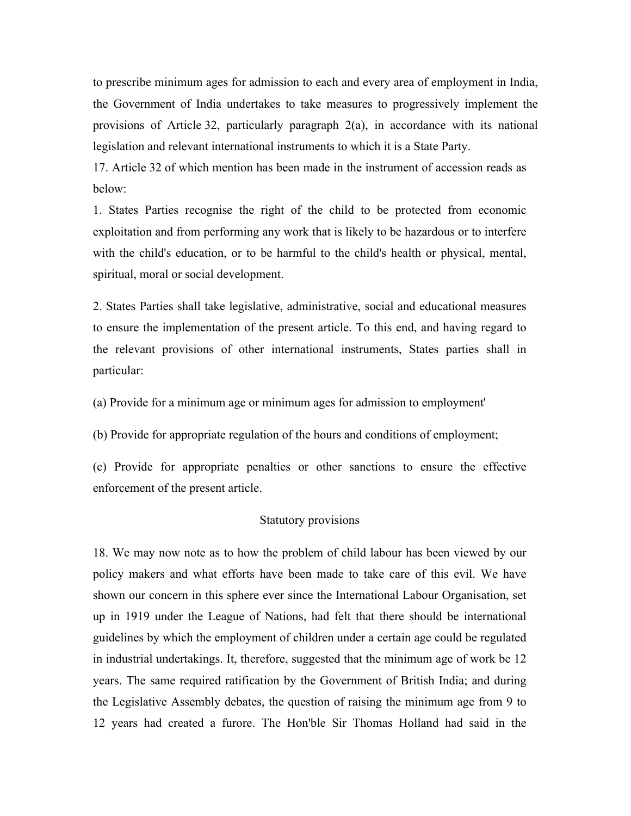to prescribe minimum ages for admission to each and every area of employment in India, the Government of India undertakes to take measures to progressively implement the provisions of Article 32, particularly paragraph  $2(a)$ , in accordance with its national legislation and relevant international instruments to which it is a State Party.

17. Article 32 of which mention has been made in the instrument of accession reads as below:

1. States Parties recognise the right of the child to be protected from economic exploitation and from performing any work that is likely to be hazardous or to interfere with the child's education, or to be harmful to the child's health or physical, mental, spiritual, moral or social development.

2. States Parties shall take legislative, administrative, social and educational measures to ensure the implementation of the present article. To this end, and having regard to the relevant provisions of other international instruments, States parties shall in particular:

(a) Provide for a minimum age or minimum ages for admission to employment'

(b) Provide for appropriate regulation of the hours and conditions of employment;

(c) Provide for appropriate penalties or other sanctions to ensure the effective enforcement of the present article.

#### Statutory provisions

18. We may now note as to how the problem of child labour has been viewed by our policy makers and what efforts have been made to take care of this evil. We have shown our concern in this sphere ever since the International Labour Organisation, set up in 1919 under the League of Nations, had felt that there should be international guidelines by which the employment of children under a certain age could be regulated in industrial undertakings. It, therefore, suggested that the minimum age of work be 12 years. The same required ratification by the Government of British India; and during the Legislative Assembly debates, the question of raising the minimum age from 9 to 12 years had created a furore. The Hon'ble Sir Thomas Holland had said in the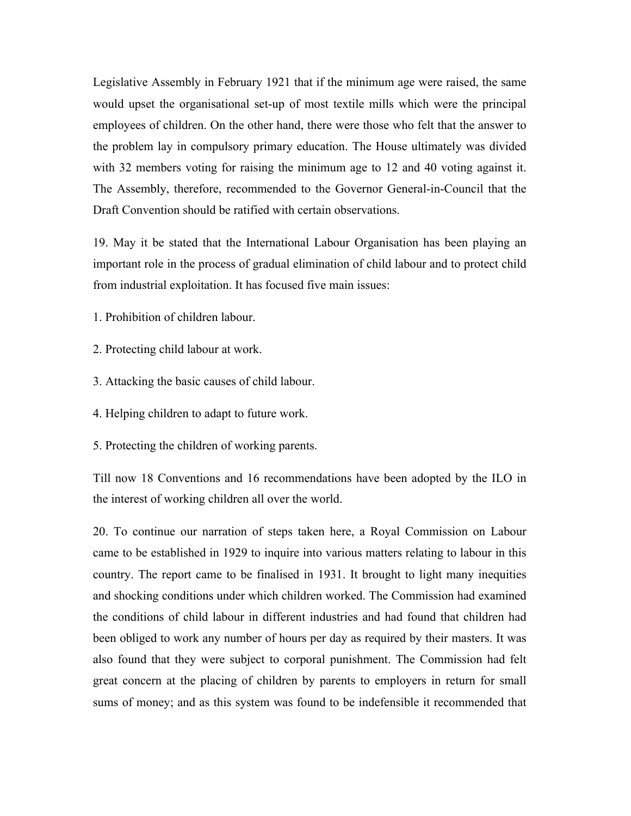Legislative Assembly in February 1921 that if the minimum age were raised, the same would upset the organisational set-up of most textile mills which were the principal employees of children. On the other hand, there were those who felt that the answer to the problem lay in compulsory primary education. The House ultimately was divided with 32 members voting for raising the minimum age to 12 and 40 voting against it. The Assembly, therefore, recommended to the Governor General-in-Council that the Draft Convention should be ratified with certain observations.

19. May it be stated that the International Labour Organisation has been playing an important role in the process of gradual elimination of child labour and to protect child from industrial exploitation. It has focused five main issues:

1. Prohibition of children labour.

2. Protecting child labour at work.

3. Attacking the basic causes of child labour.

4. Helping children to adapt to future work.

5. Protecting the children of working parents.

Till now 18 Conventions and 16 recommendations have been adopted by the ILO in the interest of working children all over the world.

20. To continue our narration of steps taken here, a Royal Commission on Labour came to be established in 1929 to inquire into various matters relating to labour in this country. The report came to be finalised in 1931. It brought to light many inequities and shocking conditions under which children worked. The Commission had examined the conditions of child labour in different industries and had found that children had been obliged to work any number of hours per day as required by their masters. It was also found that they were subject to corporal punishment. The Commission had felt great concern at the placing of children by parents to employers in return for small sums of money; and as this system was found to be indefensible it recommended that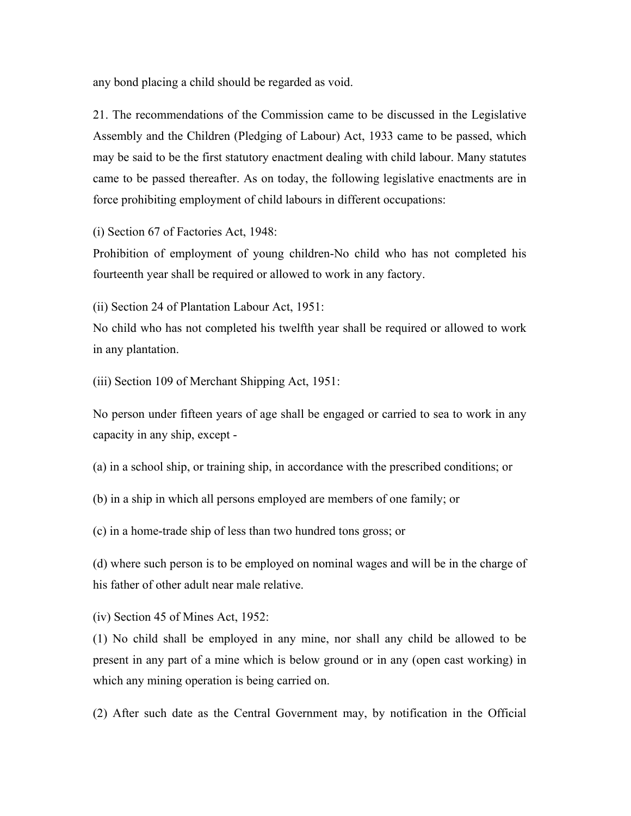any bond placing a child should be regarded as void.

21. The recommendations of the Commission came to be discussed in the Legislative Assembly and the Children (Pledging of Labour) Act, 1933 came to be passed, which may be said to be the first statutory enactment dealing with child labour. Many statutes came to be passed thereafter. As on today, the following legislative enactments are in force prohibiting employment of child labours in different occupations:

(i) Section 67 of Factories Act, 1948:

Prohibition of employment of young children-No child who has not completed his fourteenth year shall be required or allowed to work in any factory.

(ii) Section 24 of Plantation Labour Act, 1951:

No child who has not completed his twelfth year shall be required or allowed to work in any plantation.

(iii) Section 109 of Merchant Shipping Act, 1951:

No person under fifteen years of age shall be engaged or carried to sea to work in any capacity in any ship, except -

(a) in a school ship, or training ship, in accordance with the prescribed conditions; or

(b) in a ship in which all persons employed are members of one family; or

(c) in a home-trade ship of less than two hundred tons gross; or

(d) where such person is to be employed on nominal wages and will be in the charge of his father of other adult near male relative.

(iv) Section 45 of Mines Act, 1952:

(1) No child shall be employed in any mine, nor shall any child be allowed to be present in any part of a mine which is below ground or in any (open cast working) in which any mining operation is being carried on.

(2) After such date as the Central Government may, by notification in the Official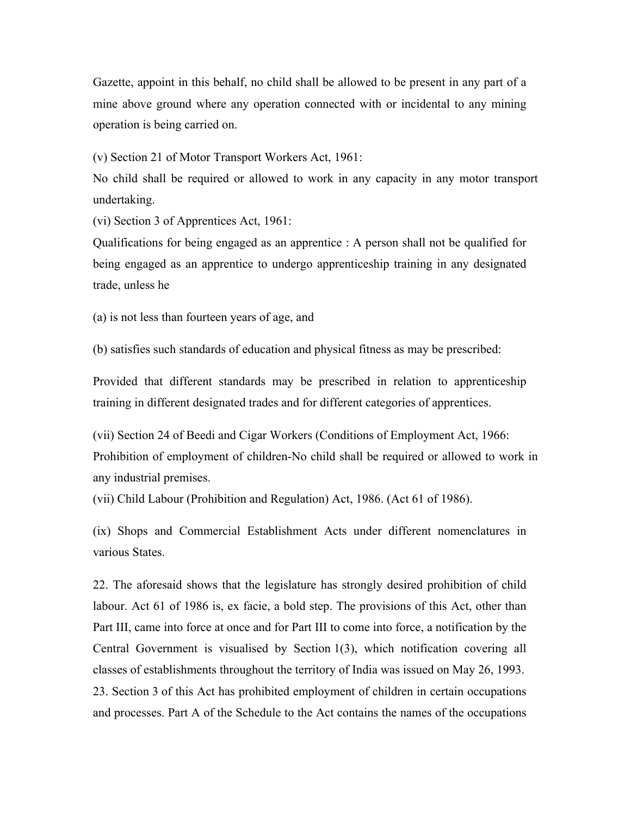Gazette, appoint in this behalf, no child shall be allowed to be present in any part of a mine above ground where any operation connected with or incidental to any mining operation is being carried on.

(v) Section 21 of Motor Transport Workers Act, 1961:

No child shall be required or allowed to work in any capacity in any motor transport undertaking.

(vi) Section 3 of Apprentices Act, 1961:

Qualifications for being engaged as an apprentice : A person shall not be qualified for being engaged as an apprentice to undergo apprenticeship training in any designated trade, unless he

(a) is not less than fourteen years of age, and

(b) satisfies such standards of education and physical fitness as may be prescribed:

Provided that different standards may be prescribed in relation to apprenticeship training in different designated trades and for different categories of apprentices.

(vii) Section 24 of Beedi and Cigar Workers (Conditions of Employment Act, 1966: Prohibition of employment of children-No child shall be required or allowed to work in any industrial premises.

(vii) Child Labour (Prohibition and Regulation) Act, 1986. (Act 61 of 1986).

(ix) Shops and Commercial Establishment Acts under different nomenclatures in various States.

22. The aforesaid shows that the legislature has strongly desired prohibition of child labour. Act 61 of 1986 is, ex facie, a bold step. The provisions of this Act, other than Part III, came into force at once and for Part III to come into force, a notification by the Central Government is visualised by Section 1(3), which notification covering all classes of establishments throughout the territory of India was issued on May 26, 1993. 23. Section 3 of this Act has prohibited employment of children in certain occupations and processes. Part A of the Schedule to the Act contains the names of the occupations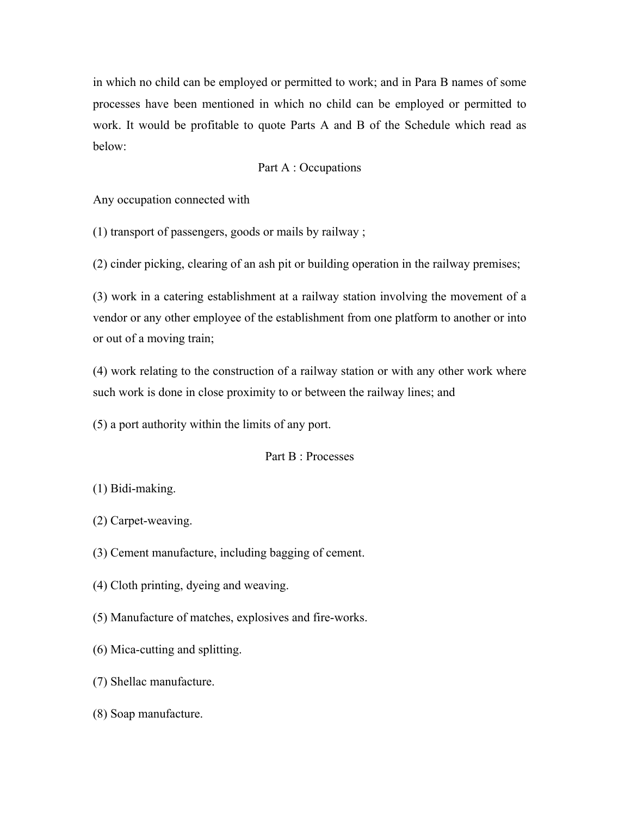in which no child can be employed or permitted to work; and in Para B names of some processes have been mentioned in which no child can be employed or permitted to work. It would be profitable to quote Parts A and B of the Schedule which read as below:

# Part A : Occupations

Any occupation connected with

(1) transport of passengers, goods or mails by railway ;

(2) cinder picking, clearing of an ash pit or building operation in the railway premises;

(3) work in a catering establishment at a railway station involving the movement of a vendor or any other employee of the establishment from one platform to another or into or out of a moving train;

(4) work relating to the construction of a railway station or with any other work where such work is done in close proximity to or between the railway lines; and

(5) a port authority within the limits of any port.

Part B : Processes

(1) Bidi-making.

- (2) Carpet-weaving.
- (3) Cement manufacture, including bagging of cement.
- (4) Cloth printing, dyeing and weaving.
- (5) Manufacture of matches, explosives and fire-works.
- (6) Mica-cutting and splitting.
- (7) Shellac manufacture.
- (8) Soap manufacture.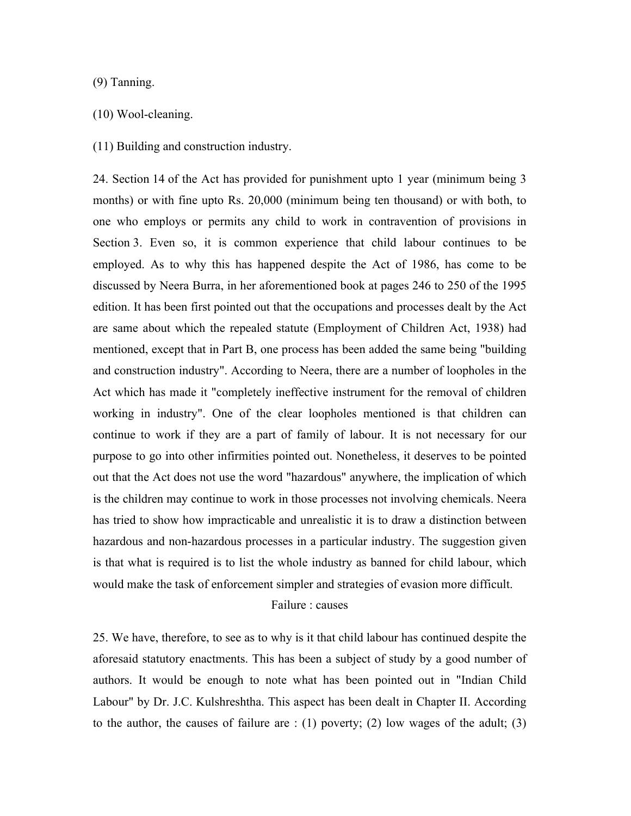### (9) Tanning.

### (10) Wool-cleaning.

(11) Building and construction industry.

24. Section 14 of the Act has provided for punishment upto 1 year (minimum being 3 months) or with fine upto Rs. 20,000 (minimum being ten thousand) or with both, to one who employs or permits any child to work in contravention of provisions in Section 3. Even so, it is common experience that child labour continues to be employed. As to why this has happened despite the Act of 1986, has come to be discussed by Neera Burra, in her aforementioned book at pages 246 to 250 of the 1995 edition. It has been first pointed out that the occupations and processes dealt by the Act are same about which the repealed statute (Employment of Children Act, 1938) had mentioned, except that in Part B, one process has been added the same being "building and construction industry". According to Neera, there are a number of loopholes in the Act which has made it "completely ineffective instrument for the removal of children working in industry". One of the clear loopholes mentioned is that children can continue to work if they are a part of family of labour. It is not necessary for our purpose to go into other infirmities pointed out. Nonetheless, it deserves to be pointed out that the Act does not use the word "hazardous" anywhere, the implication of which is the children may continue to work in those processes not involving chemicals. Neera has tried to show how impracticable and unrealistic it is to draw a distinction between hazardous and non-hazardous processes in a particular industry. The suggestion given is that what is required is to list the whole industry as banned for child labour, which would make the task of enforcement simpler and strategies of evasion more difficult.

Failure : causes

25. We have, therefore, to see as to why is it that child labour has continued despite the aforesaid statutory enactments. This has been a subject of study by a good number of authors. It would be enough to note what has been pointed out in "Indian Child Labour" by Dr. J.C. Kulshreshtha. This aspect has been dealt in Chapter II. According to the author, the causes of failure are  $(1)$  poverty; (2) low wages of the adult; (3)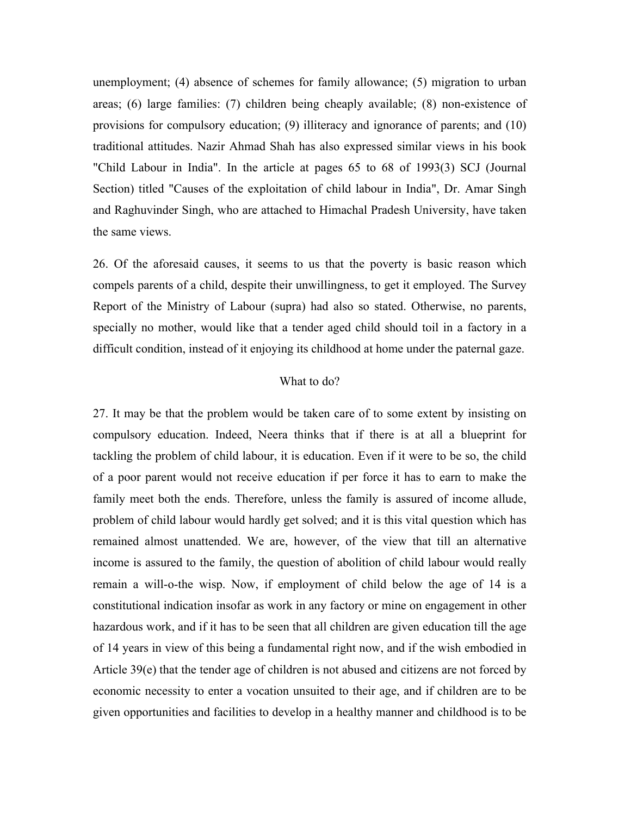unemployment; (4) absence of schemes for family allowance; (5) migration to urban areas; (6) large families: (7) children being cheaply available; (8) non-existence of provisions for compulsory education; (9) illiteracy and ignorance of parents; and (10) traditional attitudes. Nazir Ahmad Shah has also expressed similar views in his book "Child Labour in India". In the article at pages 65 to 68 of 1993(3) SCJ (Journal Section) titled "Causes of the exploitation of child labour in India", Dr. Amar Singh and Raghuvinder Singh, who are attached to Himachal Pradesh University, have taken the same views.

26. Of the aforesaid causes, it seems to us that the poverty is basic reason which compels parents of a child, despite their unwillingness, to get it employed. The Survey Report of the Ministry of Labour (supra) had also so stated. Otherwise, no parents, specially no mother, would like that a tender aged child should toil in a factory in a difficult condition, instead of it enjoying its childhood at home under the paternal gaze.

# What to do?

27. It may be that the problem would be taken care of to some extent by insisting on compulsory education. Indeed, Neera thinks that if there is at all a blueprint for tackling the problem of child labour, it is education. Even if it were to be so, the child of a poor parent would not receive education if per force it has to earn to make the family meet both the ends. Therefore, unless the family is assured of income allude, problem of child labour would hardly get solved; and it is this vital question which has remained almost unattended. We are, however, of the view that till an alternative income is assured to the family, the question of abolition of child labour would really remain a will-o-the wisp. Now, if employment of child below the age of 14 is a constitutional indication insofar as work in any factory or mine on engagement in other hazardous work, and if it has to be seen that all children are given education till the age of 14 years in view of this being a fundamental right now, and if the wish embodied in Article 39(e) that the tender age of children is not abused and citizens are not forced by economic necessity to enter a vocation unsuited to their age, and if children are to be given opportunities and facilities to develop in a healthy manner and childhood is to be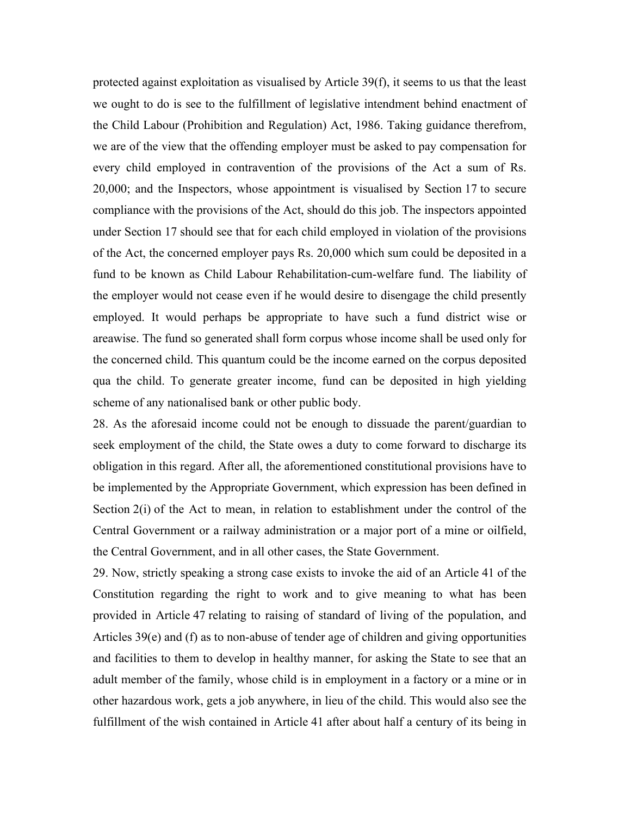protected against exploitation as visualised by Article 39(f), it seems to us that the least we ought to do is see to the fulfillment of legislative intendment behind enactment of the Child Labour (Prohibition and Regulation) Act, 1986. Taking guidance therefrom, we are of the view that the offending employer must be asked to pay compensation for every child employed in contravention of the provisions of the Act a sum of Rs. 20,000; and the Inspectors, whose appointment is visualised by Section 17 to secure compliance with the provisions of the Act, should do this job. The inspectors appointed under Section 17 should see that for each child employed in violation of the provisions of the Act, the concerned employer pays Rs. 20,000 which sum could be deposited in a fund to be known as Child Labour Rehabilitation-cum-welfare fund. The liability of the employer would not cease even if he would desire to disengage the child presently employed. It would perhaps be appropriate to have such a fund district wise or areawise. The fund so generated shall form corpus whose income shall be used only for the concerned child. This quantum could be the income earned on the corpus deposited qua the child. To generate greater income, fund can be deposited in high yielding scheme of any nationalised bank or other public body.

28. As the aforesaid income could not be enough to dissuade the parent/guardian to seek employment of the child, the State owes a duty to come forward to discharge its obligation in this regard. After all, the aforementioned constitutional provisions have to be implemented by the Appropriate Government, which expression has been defined in Section 2(i) of the Act to mean, in relation to establishment under the control of the Central Government or a railway administration or a major port of a mine or oilfield, the Central Government, and in all other cases, the State Government.

29. Now, strictly speaking a strong case exists to invoke the aid of an Article 41 of the Constitution regarding the right to work and to give meaning to what has been provided in Article 47 relating to raising of standard of living of the population, and Articles 39(e) and (f) as to non-abuse of tender age of children and giving opportunities and facilities to them to develop in healthy manner, for asking the State to see that an adult member of the family, whose child is in employment in a factory or a mine or in other hazardous work, gets a job anywhere, in lieu of the child. This would also see the fulfillment of the wish contained in Article 41 after about half a century of its being in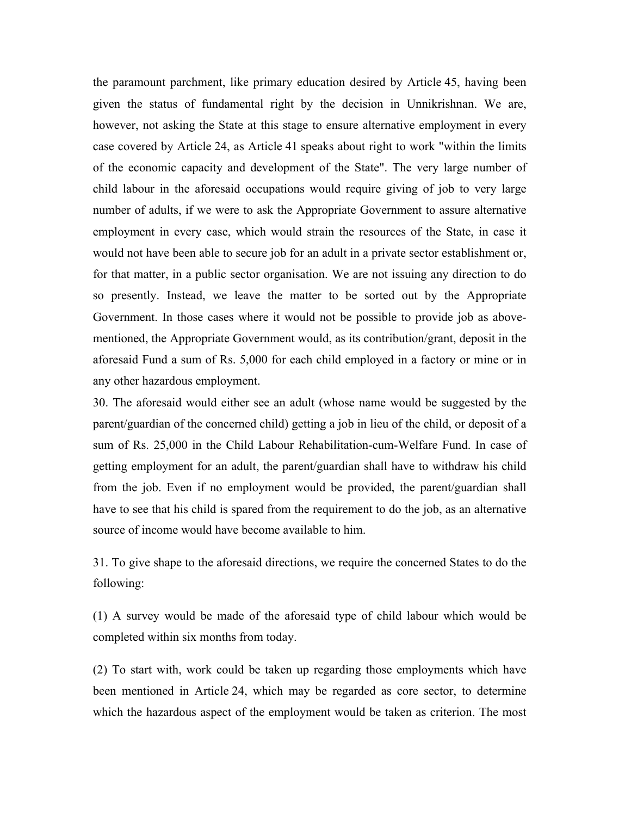the paramount parchment, like primary education desired by Article 45, having been given the status of fundamental right by the decision in Unnikrishnan. We are, however, not asking the State at this stage to ensure alternative employment in every case covered by Article 24, as Article 41 speaks about right to work "within the limits of the economic capacity and development of the State". The very large number of child labour in the aforesaid occupations would require giving of job to very large number of adults, if we were to ask the Appropriate Government to assure alternative employment in every case, which would strain the resources of the State, in case it would not have been able to secure job for an adult in a private sector establishment or, for that matter, in a public sector organisation. We are not issuing any direction to do so presently. Instead, we leave the matter to be sorted out by the Appropriate Government. In those cases where it would not be possible to provide job as abovementioned, the Appropriate Government would, as its contribution/grant, deposit in the aforesaid Fund a sum of Rs. 5,000 for each child employed in a factory or mine or in any other hazardous employment.

30. The aforesaid would either see an adult (whose name would be suggested by the parent/guardian of the concerned child) getting a job in lieu of the child, or deposit of a sum of Rs. 25,000 in the Child Labour Rehabilitation-cum-Welfare Fund. In case of getting employment for an adult, the parent/guardian shall have to withdraw his child from the job. Even if no employment would be provided, the parent/guardian shall have to see that his child is spared from the requirement to do the job, as an alternative source of income would have become available to him.

31. To give shape to the aforesaid directions, we require the concerned States to do the following:

(1) A survey would be made of the aforesaid type of child labour which would be completed within six months from today.

(2) To start with, work could be taken up regarding those employments which have been mentioned in Article 24, which may be regarded as core sector, to determine which the hazardous aspect of the employment would be taken as criterion. The most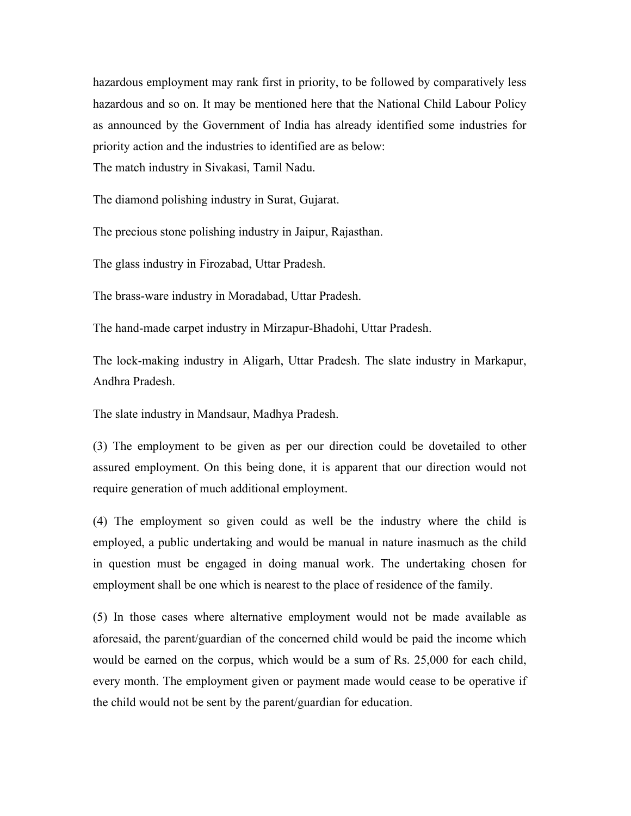hazardous employment may rank first in priority, to be followed by comparatively less hazardous and so on. It may be mentioned here that the National Child Labour Policy as announced by the Government of India has already identified some industries for priority action and the industries to identified are as below: The match industry in Sivakasi, Tamil Nadu.

The diamond polishing industry in Surat, Gujarat.

The precious stone polishing industry in Jaipur, Rajasthan.

The glass industry in Firozabad, Uttar Pradesh.

The brass-ware industry in Moradabad, Uttar Pradesh.

The hand-made carpet industry in Mirzapur-Bhadohi, Uttar Pradesh.

The lock-making industry in Aligarh, Uttar Pradesh. The slate industry in Markapur, Andhra Pradesh.

The slate industry in Mandsaur, Madhya Pradesh.

(3) The employment to be given as per our direction could be dovetailed to other assured employment. On this being done, it is apparent that our direction would not require generation of much additional employment.

(4) The employment so given could as well be the industry where the child is employed, a public undertaking and would be manual in nature inasmuch as the child in question must be engaged in doing manual work. The undertaking chosen for employment shall be one which is nearest to the place of residence of the family.

(5) In those cases where alternative employment would not be made available as aforesaid, the parent/guardian of the concerned child would be paid the income which would be earned on the corpus, which would be a sum of Rs. 25,000 for each child, every month. The employment given or payment made would cease to be operative if the child would not be sent by the parent/guardian for education.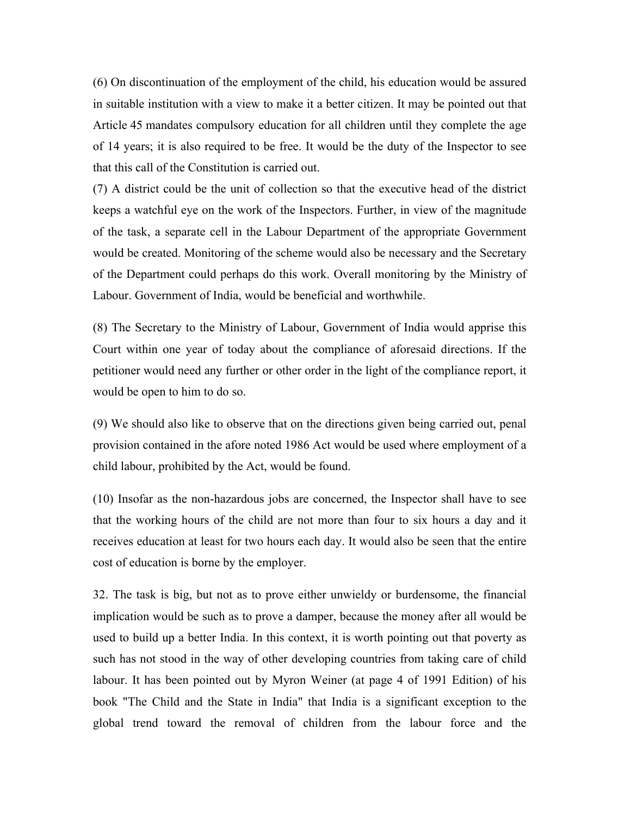(6) On discontinuation of the employment of the child, his education would be assured in suitable institution with a view to make it a better citizen. It may be pointed out that Article 45 mandates compulsory education for all children until they complete the age of 14 years; it is also required to be free. It would be the duty of the Inspector to see that this call of the Constitution is carried out.

(7) A district could be the unit of collection so that the executive head of the district keeps a watchful eye on the work of the Inspectors. Further, in view of the magnitude of the task, a separate cell in the Labour Department of the appropriate Government would be created. Monitoring of the scheme would also be necessary and the Secretary of the Department could perhaps do this work. Overall monitoring by the Ministry of Labour. Government of India, would be beneficial and worthwhile.

(8) The Secretary to the Ministry of Labour, Government of India would apprise this Court within one year of today about the compliance of aforesaid directions. If the petitioner would need any further or other order in the light of the compliance report, it would be open to him to do so.

(9) We should also like to observe that on the directions given being carried out, penal provision contained in the afore noted 1986 Act would be used where employment of a child labour, prohibited by the Act, would be found.

(10) Insofar as the non-hazardous jobs are concerned, the Inspector shall have to see that the working hours of the child are not more than four to six hours a day and it receives education at least for two hours each day. It would also be seen that the entire cost of education is borne by the employer.

32. The task is big, but not as to prove either unwieldy or burdensome, the financial implication would be such as to prove a damper, because the money after all would be used to build up a better India. In this context, it is worth pointing out that poverty as such has not stood in the way of other developing countries from taking care of child labour. It has been pointed out by Myron Weiner (at page 4 of 1991 Edition) of his book "The Child and the State in India" that India is a significant exception to the global trend toward the removal of children from the labour force and the